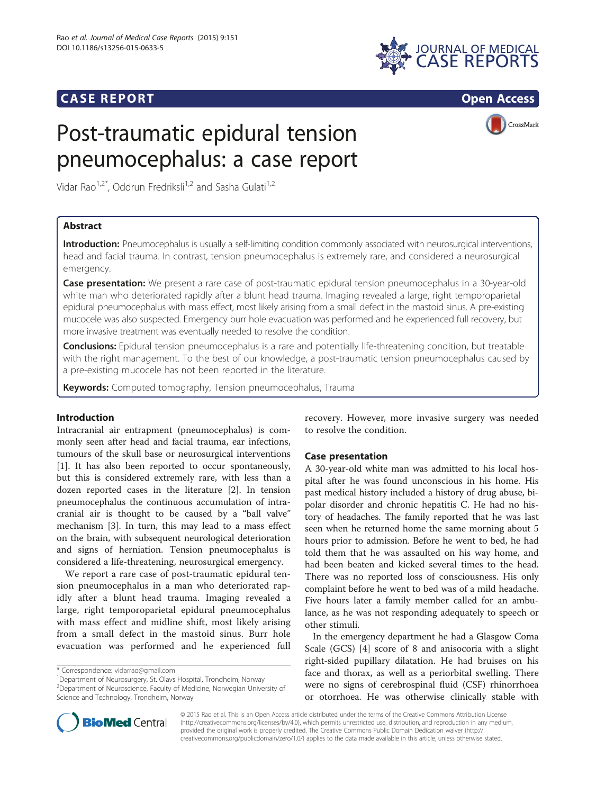# **CASE REPORT CASE REPORT**



CrossMark

# Post-traumatic epidural tension pneumocephalus: a case report

Vidar Rao<sup>1,2\*</sup>, Oddrun Fredriksli<sup>1,2</sup> and Sasha Gulati<sup>1,2</sup>

# Abstract

Introduction: Pneumocephalus is usually a self-limiting condition commonly associated with neurosurgical interventions, head and facial trauma. In contrast, tension pneumocephalus is extremely rare, and considered a neurosurgical emergency.

Case presentation: We present a rare case of post-traumatic epidural tension pneumocephalus in a 30-year-old white man who deteriorated rapidly after a blunt head trauma. Imaging revealed a large, right temporoparietal epidural pneumocephalus with mass effect, most likely arising from a small defect in the mastoid sinus. A pre-existing mucocele was also suspected. Emergency burr hole evacuation was performed and he experienced full recovery, but more invasive treatment was eventually needed to resolve the condition.

**Conclusions:** Epidural tension pneumocephalus is a rare and potentially life-threatening condition, but treatable with the right management. To the best of our knowledge, a post-traumatic tension pneumocephalus caused by a pre-existing mucocele has not been reported in the literature.

Keywords: Computed tomography, Tension pneumocephalus, Trauma

# Introduction

Intracranial air entrapment (pneumocephalus) is commonly seen after head and facial trauma, ear infections, tumours of the skull base or neurosurgical interventions [[1\]](#page-3-0). It has also been reported to occur spontaneously, but this is considered extremely rare, with less than a dozen reported cases in the literature [[2\]](#page-3-0). In tension pneumocephalus the continuous accumulation of intracranial air is thought to be caused by a "ball valve" mechanism [[3\]](#page-3-0). In turn, this may lead to a mass effect on the brain, with subsequent neurological deterioration and signs of herniation. Tension pneumocephalus is considered a life-threatening, neurosurgical emergency.

We report a rare case of post-traumatic epidural tension pneumocephalus in a man who deteriorated rapidly after a blunt head trauma. Imaging revealed a large, right temporoparietal epidural pneumocephalus with mass effect and midline shift, most likely arising from a small defect in the mastoid sinus. Burr hole evacuation was performed and he experienced full

<sup>1</sup>Department of Neurosurgery, St. Olavs Hospital, Trondheim, Norway

recovery. However, more invasive surgery was needed to resolve the condition.

# Case presentation

A 30-year-old white man was admitted to his local hospital after he was found unconscious in his home. His past medical history included a history of drug abuse, bipolar disorder and chronic hepatitis C. He had no history of headaches. The family reported that he was last seen when he returned home the same morning about 5 hours prior to admission. Before he went to bed, he had told them that he was assaulted on his way home, and had been beaten and kicked several times to the head. There was no reported loss of consciousness. His only complaint before he went to bed was of a mild headache. Five hours later a family member called for an ambulance, as he was not responding adequately to speech or other stimuli.

In the emergency department he had a Glasgow Coma Scale (GCS) [\[4](#page-3-0)] score of 8 and anisocoria with a slight right-sided pupillary dilatation. He had bruises on his face and thorax, as well as a periorbital swelling. There were no signs of cerebrospinal fluid (CSF) rhinorrhoea or otorrhoea. He was otherwise clinically stable with



© 2015 Rao et al. This is an Open Access article distributed under the terms of the Creative Commons Attribution License [\(http://creativecommons.org/licenses/by/4.0\)](http://creativecommons.org/licenses/by/4.0), which permits unrestricted use, distribution, and reproduction in any medium, provided the original work is properly credited. The Creative Commons Public Domain Dedication waiver [\(http://](http://creativecommons.org/publicdomain/zero/1.0/) [creativecommons.org/publicdomain/zero/1.0/\)](http://creativecommons.org/publicdomain/zero/1.0/) applies to the data made available in this article, unless otherwise stated.

<sup>\*</sup> Correspondence: [vidarrao@gmail.com](mailto:vidarrao@gmail.com) <sup>1</sup>

<sup>2</sup> Department of Neuroscience, Faculty of Medicine, Norwegian University of Science and Technology, Trondheim, Norway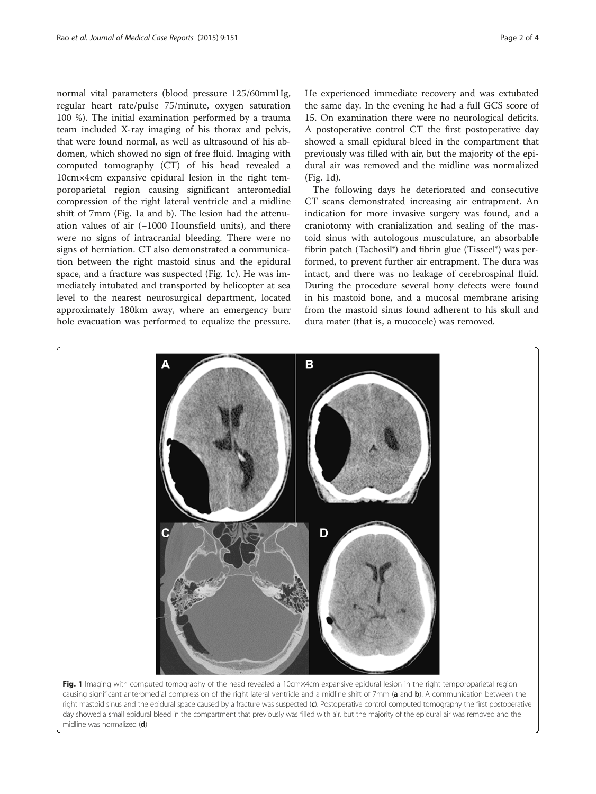normal vital parameters (blood pressure 125/60mmHg, regular heart rate/pulse 75/minute, oxygen saturation 100 %). The initial examination performed by a trauma team included X-ray imaging of his thorax and pelvis, that were found normal, as well as ultrasound of his abdomen, which showed no sign of free fluid. Imaging with computed tomography (CT) of his head revealed a 10cm×4cm expansive epidural lesion in the right temporoparietal region causing significant anteromedial compression of the right lateral ventricle and a midline shift of 7mm (Fig. 1a and b). The lesion had the attenuation values of air (−1000 Hounsfield units), and there were no signs of intracranial bleeding. There were no signs of herniation. CT also demonstrated a communication between the right mastoid sinus and the epidural space, and a fracture was suspected (Fig. 1c). He was immediately intubated and transported by helicopter at sea level to the nearest neurosurgical department, located approximately 180km away, where an emergency burr hole evacuation was performed to equalize the pressure. He experienced immediate recovery and was extubated the same day. In the evening he had a full GCS score of 15. On examination there were no neurological deficits. A postoperative control CT the first postoperative day showed a small epidural bleed in the compartment that previously was filled with air, but the majority of the epidural air was removed and the midline was normalized (Fig. 1d).

The following days he deteriorated and consecutive CT scans demonstrated increasing air entrapment. An indication for more invasive surgery was found, and a craniotomy with cranialization and sealing of the mastoid sinus with autologous musculature, an absorbable fibrin patch (Tachosil®) and fibrin glue (Tisseel®) was performed, to prevent further air entrapment. The dura was intact, and there was no leakage of cerebrospinal fluid. During the procedure several bony defects were found in his mastoid bone, and a mucosal membrane arising from the mastoid sinus found adherent to his skull and dura mater (that is, a mucocele) was removed.



Fig. 1 Imaging with computed tomography of the head revealed a 10cm×4cm expansive epidural lesion in the right temporoparietal region causing significant anteromedial compression of the right lateral ventricle and a midline shift of 7mm (a and b). A communication between the right mastoid sinus and the epidural space caused by a fracture was suspected (c). Postoperative control computed tomography the first postoperative day showed a small epidural bleed in the compartment that previously was filled with air, but the majority of the epidural air was removed and the midline was normalized (d)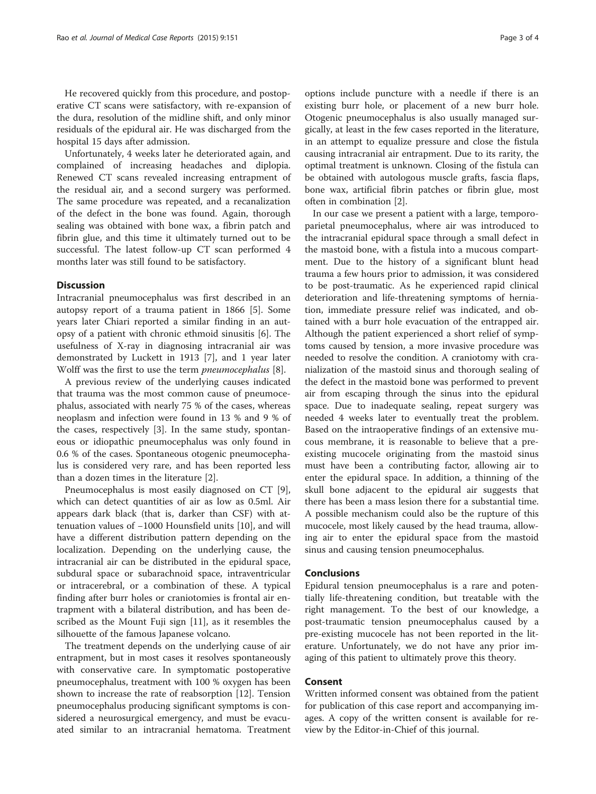He recovered quickly from this procedure, and postoperative CT scans were satisfactory, with re-expansion of the dura, resolution of the midline shift, and only minor residuals of the epidural air. He was discharged from the hospital 15 days after admission.

Unfortunately, 4 weeks later he deteriorated again, and complained of increasing headaches and diplopia. Renewed CT scans revealed increasing entrapment of the residual air, and a second surgery was performed. The same procedure was repeated, and a recanalization of the defect in the bone was found. Again, thorough sealing was obtained with bone wax, a fibrin patch and fibrin glue, and this time it ultimately turned out to be successful. The latest follow-up CT scan performed 4 months later was still found to be satisfactory.

#### **Discussion**

Intracranial pneumocephalus was first described in an autopsy report of a trauma patient in 1866 [[5\]](#page-3-0). Some years later Chiari reported a similar finding in an autopsy of a patient with chronic ethmoid sinusitis [[6\]](#page-3-0). The usefulness of X-ray in diagnosing intracranial air was demonstrated by Luckett in 1913 [[7\]](#page-3-0), and 1 year later Wolff was the first to use the term pneumocephalus [[8\]](#page-3-0).

A previous review of the underlying causes indicated that trauma was the most common cause of pneumocephalus, associated with nearly 75 % of the cases, whereas neoplasm and infection were found in 13 % and 9 % of the cases, respectively [\[3](#page-3-0)]. In the same study, spontaneous or idiopathic pneumocephalus was only found in 0.6 % of the cases. Spontaneous otogenic pneumocephalus is considered very rare, and has been reported less than a dozen times in the literature [[2\]](#page-3-0).

Pneumocephalus is most easily diagnosed on CT [\[9](#page-3-0)], which can detect quantities of air as low as 0.5ml. Air appears dark black (that is, darker than CSF) with attenuation values of −1000 Hounsfield units [[10\]](#page-3-0), and will have a different distribution pattern depending on the localization. Depending on the underlying cause, the intracranial air can be distributed in the epidural space, subdural space or subarachnoid space, intraventricular or intracerebral, or a combination of these. A typical finding after burr holes or craniotomies is frontal air entrapment with a bilateral distribution, and has been described as the Mount Fuji sign [\[11\]](#page-3-0), as it resembles the silhouette of the famous Japanese volcano.

The treatment depends on the underlying cause of air entrapment, but in most cases it resolves spontaneously with conservative care. In symptomatic postoperative pneumocephalus, treatment with 100 % oxygen has been shown to increase the rate of reabsorption [[12\]](#page-3-0). Tension pneumocephalus producing significant symptoms is considered a neurosurgical emergency, and must be evacuated similar to an intracranial hematoma. Treatment

options include puncture with a needle if there is an existing burr hole, or placement of a new burr hole. Otogenic pneumocephalus is also usually managed surgically, at least in the few cases reported in the literature, in an attempt to equalize pressure and close the fistula causing intracranial air entrapment. Due to its rarity, the optimal treatment is unknown. Closing of the fistula can be obtained with autologous muscle grafts, fascia flaps, bone wax, artificial fibrin patches or fibrin glue, most often in combination [\[2\]](#page-3-0).

In our case we present a patient with a large, temporoparietal pneumocephalus, where air was introduced to the intracranial epidural space through a small defect in the mastoid bone, with a fistula into a mucous compartment. Due to the history of a significant blunt head trauma a few hours prior to admission, it was considered to be post-traumatic. As he experienced rapid clinical deterioration and life-threatening symptoms of herniation, immediate pressure relief was indicated, and obtained with a burr hole evacuation of the entrapped air. Although the patient experienced a short relief of symptoms caused by tension, a more invasive procedure was needed to resolve the condition. A craniotomy with cranialization of the mastoid sinus and thorough sealing of the defect in the mastoid bone was performed to prevent air from escaping through the sinus into the epidural space. Due to inadequate sealing, repeat surgery was needed 4 weeks later to eventually treat the problem. Based on the intraoperative findings of an extensive mucous membrane, it is reasonable to believe that a preexisting mucocele originating from the mastoid sinus must have been a contributing factor, allowing air to enter the epidural space. In addition, a thinning of the skull bone adjacent to the epidural air suggests that there has been a mass lesion there for a substantial time. A possible mechanism could also be the rupture of this mucocele, most likely caused by the head trauma, allowing air to enter the epidural space from the mastoid sinus and causing tension pneumocephalus.

#### **Conclusions**

Epidural tension pneumocephalus is a rare and potentially life-threatening condition, but treatable with the right management. To the best of our knowledge, a post-traumatic tension pneumocephalus caused by a pre-existing mucocele has not been reported in the literature. Unfortunately, we do not have any prior imaging of this patient to ultimately prove this theory.

## Consent

Written informed consent was obtained from the patient for publication of this case report and accompanying images. A copy of the written consent is available for review by the Editor-in-Chief of this journal.